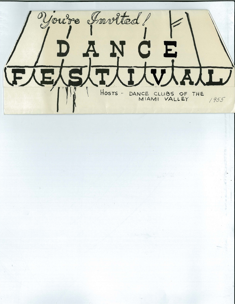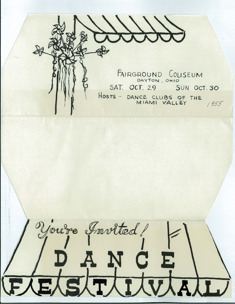